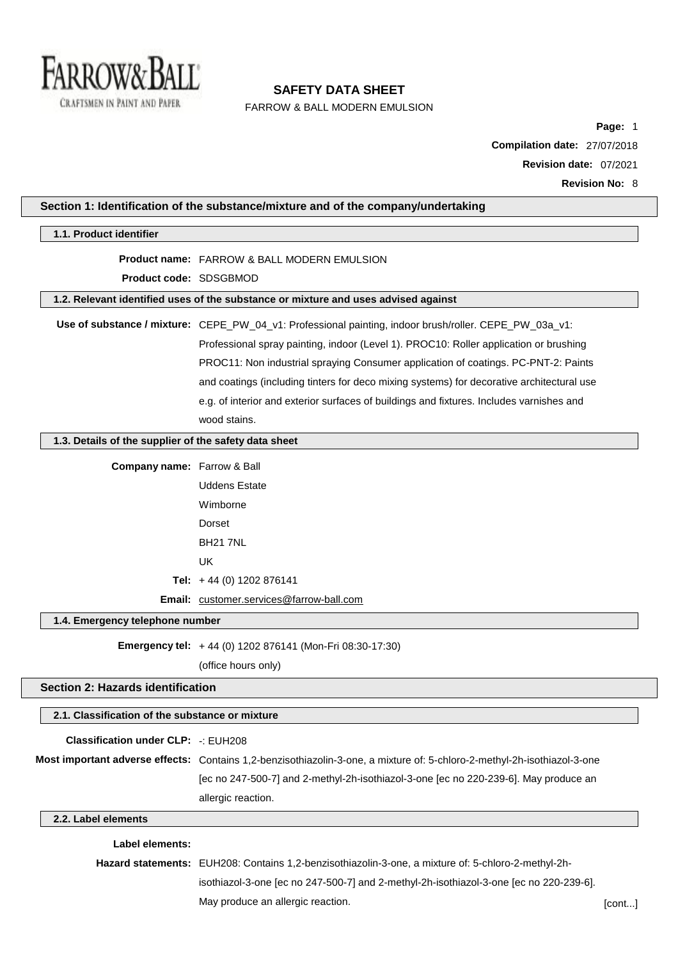

FARROW & BALL MODERN EMULSION

**Page:** 1 **Compilation date:** 27/07/2018 **Revision date:** 07/2021 **Revision No:** 8

| 1.1. Product identifier                               |                                                                                                                          |  |
|-------------------------------------------------------|--------------------------------------------------------------------------------------------------------------------------|--|
|                                                       | <b>Product name: FARROW &amp; BALL MODERN EMULSION</b>                                                                   |  |
| Product code: SDSGBMOD                                |                                                                                                                          |  |
|                                                       | 1.2. Relevant identified uses of the substance or mixture and uses advised against                                       |  |
|                                                       | Use of substance / mixture: CEPE_PW_04_v1: Professional painting, indoor brush/roller. CEPE_PW_03a_v1:                   |  |
|                                                       | Professional spray painting, indoor (Level 1). PROC10: Roller application or brushing                                    |  |
|                                                       | PROC11: Non industrial spraying Consumer application of coatings. PC-PNT-2: Paints                                       |  |
|                                                       | and coatings (including tinters for deco mixing systems) for decorative architectural use                                |  |
|                                                       | e.g. of interior and exterior surfaces of buildings and fixtures. Includes varnishes and                                 |  |
|                                                       | wood stains.                                                                                                             |  |
| 1.3. Details of the supplier of the safety data sheet |                                                                                                                          |  |
| <b>Company name:</b> Farrow & Ball                    |                                                                                                                          |  |
|                                                       | <b>Uddens Estate</b>                                                                                                     |  |
|                                                       | Wimborne                                                                                                                 |  |
|                                                       | Dorset                                                                                                                   |  |
|                                                       | <b>BH21 7NL</b>                                                                                                          |  |
|                                                       | <b>UK</b>                                                                                                                |  |
|                                                       | Tel: $+44$ (0) 1202 876141                                                                                               |  |
|                                                       | Email: customer.services@farrow-ball.com                                                                                 |  |
| 1.4. Emergency telephone number                       |                                                                                                                          |  |
|                                                       |                                                                                                                          |  |
|                                                       | Emergency tel: +44 (0) 1202 876141 (Mon-Fri 08:30-17:30)                                                                 |  |
|                                                       | (office hours only)                                                                                                      |  |
| <b>Section 2: Hazards identification</b>              |                                                                                                                          |  |
| 2.1. Classification of the substance or mixture       |                                                                                                                          |  |
| <b>Classification under CLP: -: EUH208</b>            |                                                                                                                          |  |
|                                                       | Most important adverse effects: Contains 1,2-benzisothiazolin-3-one, a mixture of: 5-chloro-2-methyl-2h-isothiazol-3-one |  |
|                                                       | [ec no 247-500-7] and 2-methyl-2h-isothiazol-3-one [ec no 220-239-6]. May produce an                                     |  |
|                                                       | allergic reaction.                                                                                                       |  |
| 2.2. Label elements                                   |                                                                                                                          |  |
| <b>Label elements:</b>                                |                                                                                                                          |  |
|                                                       | Hazard statements: EUH208: Contains 1,2-benzisothiazolin-3-one, a mixture of: 5-chloro-2-methyl-2h-                      |  |
|                                                       | isothiazol-3-one [ec no 247-500-7] and 2-methyl-2h-isothiazol-3-one [ec no 220-239-6].                                   |  |
|                                                       |                                                                                                                          |  |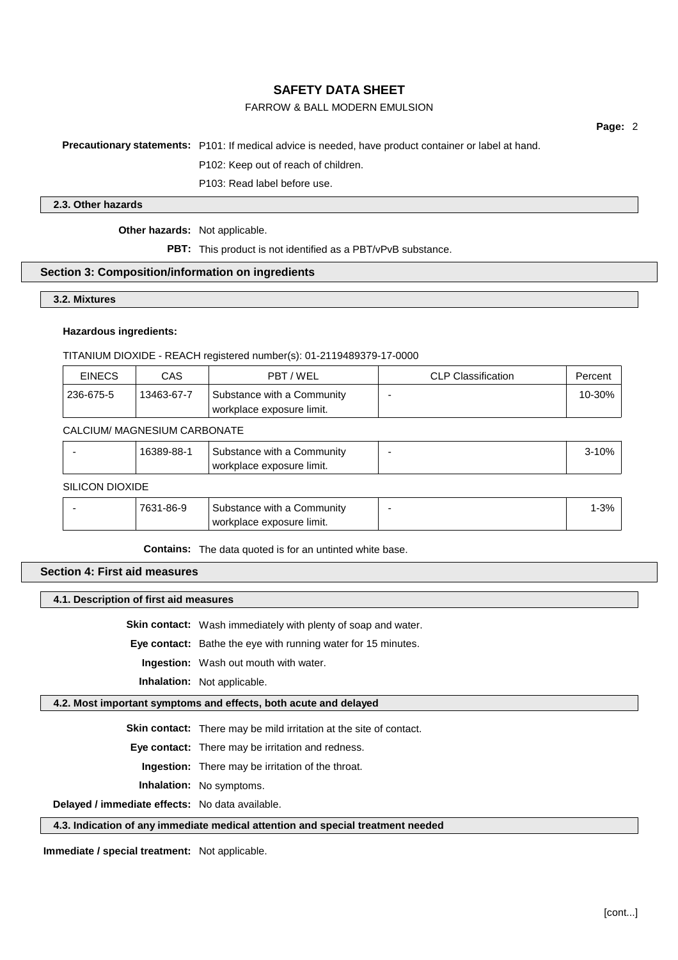## FARROW & BALL MODERN EMULSION

**Page:** 2

**Precautionary statements:** P101: If medical advice is needed, have product container or label at hand.

P102: Keep out of reach of children.

P103: Read label before use.

#### **2.3. Other hazards**

**Other hazards:** Not applicable.

**PBT:** This product is not identified as a PBT/vPvB substance.

#### **Section 3: Composition/information on ingredients**

#### **3.2. Mixtures**

#### **Hazardous ingredients:**

TITANIUM DIOXIDE - REACH registered number(s): 01-2119489379-17-0000

| <b>EINECS</b> | CAS        | PBT/WEL                                                 | <b>CLP Classification</b> | Percent |
|---------------|------------|---------------------------------------------------------|---------------------------|---------|
| 236-675-5     | 13463-67-7 | Substance with a Community<br>workplace exposure limit. |                           | 10-30%  |

#### CALCIUM/ MAGNESIUM CARBONATE

|  |  | 389-88-1 | Substance with a Community<br>workplace exposure limit. |  | 0% |
|--|--|----------|---------------------------------------------------------|--|----|
|--|--|----------|---------------------------------------------------------|--|----|

## SILICON DIOXIDE

| 7631-86-9 | Substance with a Community | $-3%$ |
|-----------|----------------------------|-------|
|           | workplace exposure limit.  |       |

**Contains:** The data quoted is for an untinted white base.

## **Section 4: First aid measures**

#### **4.1. Description of first aid measures**

**Skin contact:** Wash immediately with plenty of soap and water.

**Eye contact:** Bathe the eye with running water for 15 minutes.

**Ingestion:** Wash out mouth with water.

**Inhalation:** Not applicable.

## **4.2. Most important symptoms and effects, both acute and delayed**

**Skin contact:** There may be mild irritation at the site of contact.

**Eye contact:** There may be irritation and redness.

**Ingestion:** There may be irritation of the throat.

**Inhalation:** No symptoms.

**Delayed / immediate effects:** No data available.

#### **4.3. Indication of any immediate medical attention and special treatment needed**

**Immediate / special treatment:** Not applicable.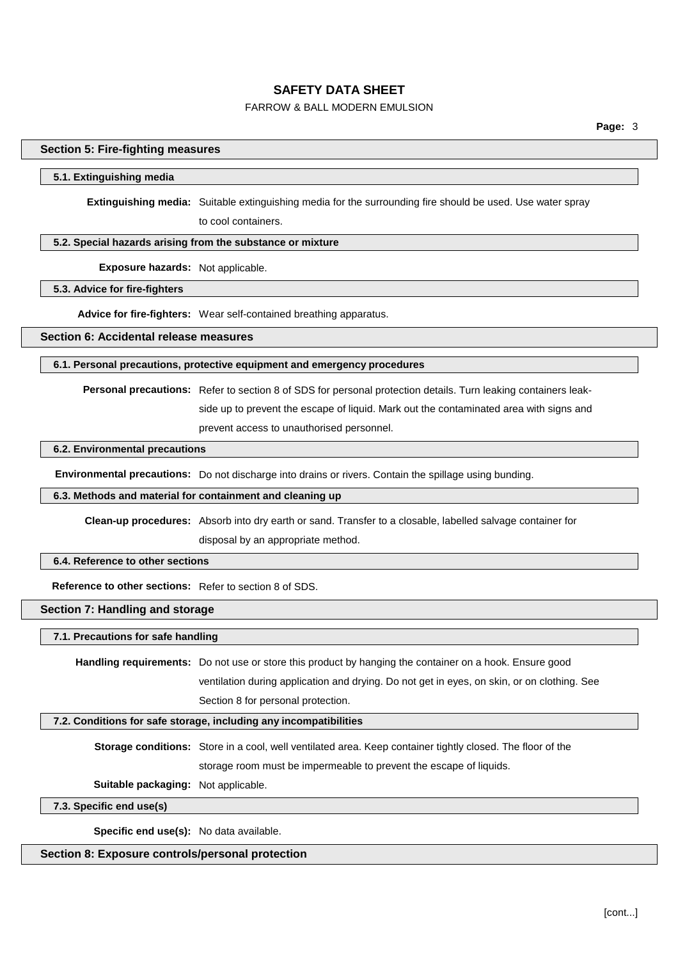## FARROW & BALL MODERN EMULSION

#### **Section 5: Fire-fighting measures**

#### **5.1. Extinguishing media**

**Extinguishing media:** Suitable extinguishing media for the surrounding fire should be used. Use water spray to cool containers.

#### **5.2. Special hazards arising from the substance or mixture**

**Exposure hazards:** Not applicable.

## **5.3. Advice for fire-fighters**

**Advice for fire-fighters:** Wear self-contained breathing apparatus.

**Section 6: Accidental release measures**

#### **6.1. Personal precautions, protective equipment and emergency procedures**

**Personal precautions:** Refer to section 8 of SDS for personal protection details. Turn leaking containers leak-

side up to prevent the escape of liquid. Mark out the contaminated area with signs and

prevent access to unauthorised personnel.

#### **6.2. Environmental precautions**

**Environmental precautions:** Do not discharge into drains or rivers. Contain the spillage using bunding.

#### **6.3. Methods and material for containment and cleaning up**

**Clean-up procedures:** Absorb into dry earth or sand. Transfer to a closable, labelled salvage container for disposal by an appropriate method.

#### **6.4. Reference to other sections**

**Reference to other sections:** Refer to section 8 of SDS.

## **Section 7: Handling and storage**

**7.1. Precautions for safe handling**

**Handling requirements:** Do not use or store this product by hanging the container on a hook. Ensure good ventilation during application and drying. Do not get in eyes, on skin, or on clothing. See Section 8 for personal protection.

#### **7.2. Conditions for safe storage, including any incompatibilities**

**Storage conditions:** Store in a cool, well ventilated area. Keep container tightly closed. The floor of the storage room must be impermeable to prevent the escape of liquids.

**Suitable packaging:** Not applicable.

#### **7.3. Specific end use(s)**

**Specific end use(s):** No data available.

#### **Section 8: Exposure controls/personal protection**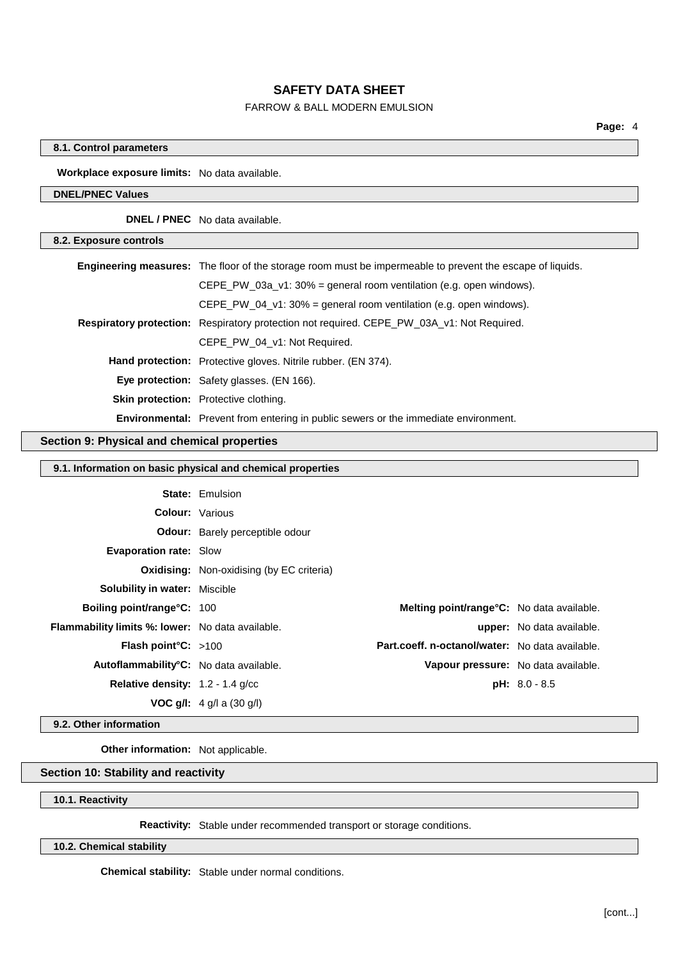## FARROW & BALL MODERN EMULSION

### **8.1. Control parameters**

**Workplace exposure limits:** No data available.

### **DNEL/PNEC Values**

**DNEL / PNEC** No data available.

| 8.2. Exposure controls |                                                                                                                  |
|------------------------|------------------------------------------------------------------------------------------------------------------|
|                        | <b>Engineering measures:</b> The floor of the storage room must be impermeable to prevent the escape of liquids. |
|                        | CEPE PW 03a $v1:30\%$ = general room ventilation (e.g. open windows).                                            |
|                        | CEPE PW 04 $v1:30\%$ = general room ventilation (e.g. open windows).                                             |
|                        | Respiratory protection: Respiratory protection not required. CEPE_PW_03A_v1: Not Required.                       |
|                        | CEPE PW 04 v1: Not Required.                                                                                     |
|                        | <b>Hand protection:</b> Protective gloves. Nitrile rubber. (EN 374).                                             |
|                        | <b>Eye protection:</b> Safety glasses. (EN 166).                                                                 |
|                        | Skin protection: Protective clothing.                                                                            |
|                        | <b>Environmental:</b> Prevent from entering in public sewers or the immediate environment.                       |

#### **Section 9: Physical and chemical properties**

## **9.1. Information on basic physical and chemical properties**

|                                                         | <b>State: Emulsion</b>                           |                                     |
|---------------------------------------------------------|--------------------------------------------------|-------------------------------------|
| <b>Colour:</b> Various                                  |                                                  |                                     |
|                                                         | <b>Odour:</b> Barely perceptible odour           |                                     |
| <b>Evaporation rate: Slow</b>                           |                                                  |                                     |
|                                                         | <b>Oxidising:</b> Non-oxidising (by EC criteria) |                                     |
| <b>Solubility in water: Miscible</b>                    |                                                  |                                     |
| Boiling point/range°C: 100                              | Melting point/range°C: No data available.        |                                     |
| <b>Flammability limits %: lower:</b> No data available. |                                                  | <b>upper:</b> No data available.    |
| <b>Flash point °C:</b> $>100$                           | Part.coeff. n-octanol/water: No data available.  |                                     |
| Autoflammability <sup>°</sup> C: No data available.     |                                                  | Vapour pressure: No data available. |
| <b>Relative density:</b> $1.2 - 1.4$ g/cc               |                                                  | $pH: 8.0 - 8.5$                     |
|                                                         | <b>VOC g/l:</b> $4$ g/l a (30 g/l)               |                                     |
|                                                         |                                                  |                                     |

## **9.2. Other information**

**Other information:** Not applicable.

## **Section 10: Stability and reactivity**

### **10.1. Reactivity**

**Reactivity:** Stable under recommended transport or storage conditions.

## **10.2. Chemical stability**

**Chemical stability:** Stable under normal conditions.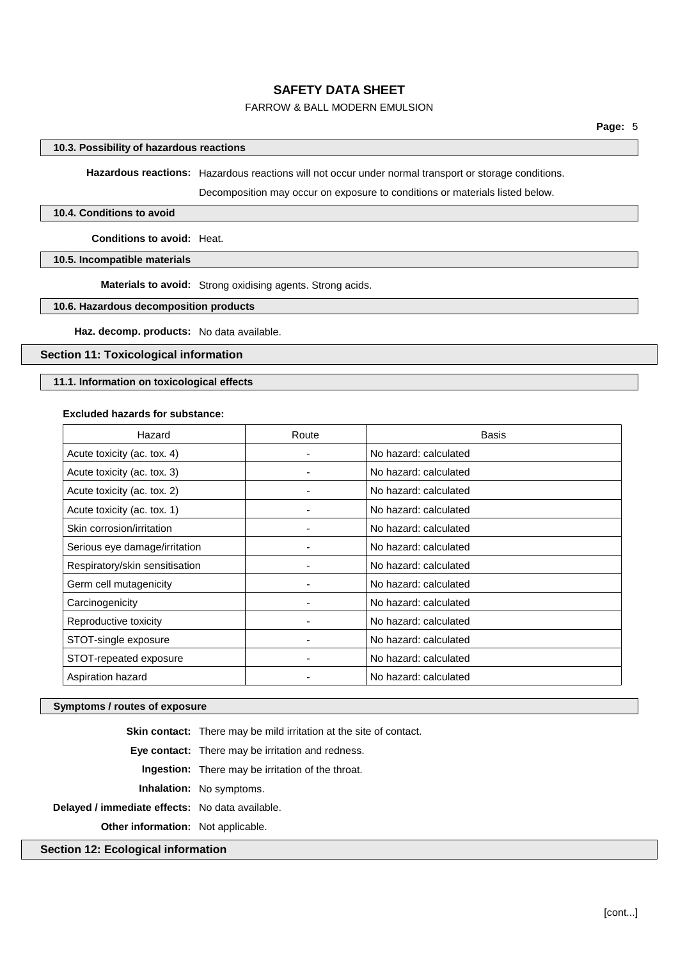## FARROW & BALL MODERN EMULSION

#### **10.3. Possibility of hazardous reactions**

**Hazardous reactions:** Hazardous reactions will not occur under normal transport or storage conditions.

Decomposition may occur on exposure to conditions or materials listed below.

#### **10.4. Conditions to avoid**

**Conditions to avoid:** Heat.

**10.5. Incompatible materials**

**Materials to avoid:** Strong oxidising agents. Strong acids.

### **10.6. Hazardous decomposition products**

**Haz. decomp. products:** No data available.

#### **Section 11: Toxicological information**

## **11.1. Information on toxicological effects**

#### **Excluded hazards for substance:**

| Hazard                         | Route | <b>Basis</b>          |
|--------------------------------|-------|-----------------------|
| Acute toxicity (ac. tox. 4)    |       | No hazard: calculated |
| Acute toxicity (ac. tox. 3)    |       | No hazard: calculated |
| Acute toxicity (ac. tox. 2)    |       | No hazard: calculated |
| Acute toxicity (ac. tox. 1)    |       | No hazard: calculated |
| Skin corrosion/irritation      |       | No hazard: calculated |
| Serious eye damage/irritation  |       | No hazard: calculated |
| Respiratory/skin sensitisation |       | No hazard: calculated |
| Germ cell mutagenicity         |       | No hazard: calculated |
| Carcinogenicity                |       | No hazard: calculated |
| Reproductive toxicity          |       | No hazard: calculated |
| STOT-single exposure           |       | No hazard: calculated |
| STOT-repeated exposure         |       | No hazard: calculated |
| Aspiration hazard              |       | No hazard: calculated |

#### **Symptoms / routes of exposure**

|                                                 | <b>Skin contact:</b> There may be mild irritation at the site of contact. |
|-------------------------------------------------|---------------------------------------------------------------------------|
|                                                 | Eye contact: There may be irritation and redness.                         |
|                                                 | <b>Ingestion:</b> There may be irritation of the throat.                  |
|                                                 | <b>Inhalation:</b> No symptoms.                                           |
| Delayed / immediate effects: No data available. |                                                                           |
| <b>Other information:</b> Not applicable.       |                                                                           |
|                                                 |                                                                           |

**Section 12: Ecological information**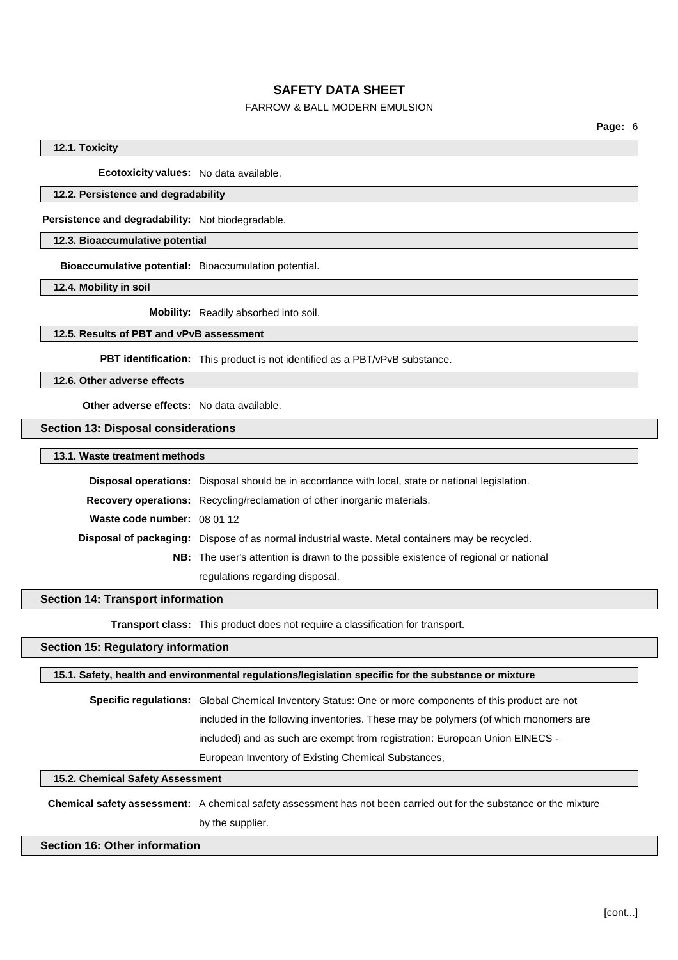## FARROW & BALL MODERN EMULSION

#### **12.1. Toxicity**

**Ecotoxicity values:** No data available.

#### **12.2. Persistence and degradability**

**Persistence and degradability:** Not biodegradable.

### **12.3. Bioaccumulative potential**

**Bioaccumulative potential:** Bioaccumulation potential.

**12.4. Mobility in soil**

**Mobility:** Readily absorbed into soil.

#### **12.5. Results of PBT and vPvB assessment**

**PBT identification:** This product is not identified as a PBT/vPvB substance.

**12.6. Other adverse effects**

**Other adverse effects:** No data available.

**Section 13: Disposal considerations**

**13.1. Waste treatment methods**

|                             | <b>Disposal operations:</b> Disposal should be in accordance with local, state or national legislation. |
|-----------------------------|---------------------------------------------------------------------------------------------------------|
|                             | <b>Recovery operations:</b> Recycling/reclamation of other inorganic materials.                         |
| Waste code number: 08 01 12 |                                                                                                         |
|                             | Disposal of packaging: Dispose of as normal industrial waste. Metal containers may be recycled.         |
|                             | <b>NB:</b> The user's attention is drawn to the possible existence of regional or national              |
|                             | regulations regarding disposal.                                                                         |

#### **Section 14: Transport information**

**Transport class:** This product does not require a classification for transport.

## **Section 15: Regulatory information**

**15.1. Safety, health and environmental regulations/legislation specific for the substance or mixture**

**Specific regulations:** Global Chemical Inventory Status: One or more components of this product are not included in the following inventories. These may be polymers (of which monomers are included) and as such are exempt from registration: European Union EINECS - European Inventory of Existing Chemical Substances,

## **15.2. Chemical Safety Assessment**

**Chemical safety assessment:** A chemical safety assessment has not been carried out for the substance or the mixture by the supplier.

## **Section 16: Other information**